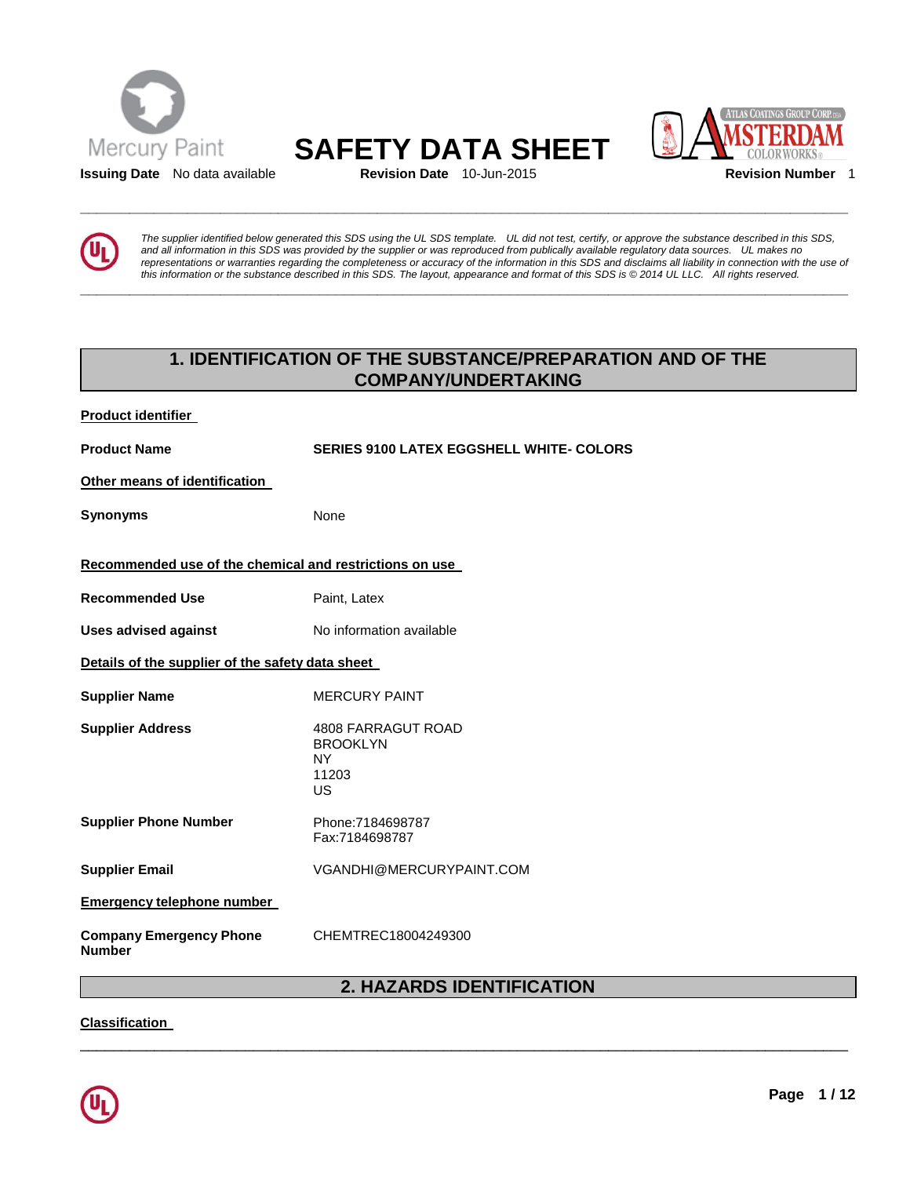

# Mercury Paint **SAFETY DATA SHEET**<br> **SAFETY DATA SHEET**

**\_\_\_\_\_\_\_\_\_\_\_\_\_\_\_\_\_\_\_\_\_\_\_\_\_\_\_\_\_\_\_\_\_\_\_\_\_\_\_\_\_\_\_\_\_\_\_\_\_\_\_\_\_\_\_\_\_\_\_\_\_\_\_\_\_\_\_\_\_\_\_\_\_\_\_\_\_\_\_\_\_\_\_\_\_\_\_\_\_\_\_\_\_** 

**\_\_\_\_\_\_\_\_\_\_\_\_\_\_\_\_\_\_\_\_\_\_\_\_\_\_\_\_\_\_\_\_\_\_\_\_\_\_\_\_\_\_\_\_\_\_\_\_\_\_\_\_\_\_\_\_\_\_\_\_\_\_\_\_\_\_\_\_\_\_\_\_\_\_\_\_\_\_\_\_\_\_\_\_\_\_\_\_\_\_\_\_\_** 



*The supplier identified below generated this SDS using the UL SDS template. UL did not test, certify, or approve the substance described in this SDS, and all information in this SDS was provided by the supplier or was reproduced from publically available regulatory data sources. UL makes no representations or warranties regarding the completeness or accuracy of the information in this SDS and disclaims all liability in connection with the use of this information or the substance described in this SDS. The layout, appearance and format of this SDS is © 2014 UL LLC. All rights reserved.* 

# **1. IDENTIFICATION OF THE SUBSTANCE/PREPARATION AND OF THE COMPANY/UNDERTAKING**

| <b>Product identifier</b>                               |                                                                   |  |
|---------------------------------------------------------|-------------------------------------------------------------------|--|
| <b>Product Name</b>                                     | <b>SERIES 9100 LATEX EGGSHELL WHITE- COLORS</b>                   |  |
| Other means of identification                           |                                                                   |  |
| <b>Synonyms</b>                                         | None                                                              |  |
| Recommended use of the chemical and restrictions on use |                                                                   |  |
| <b>Recommended Use</b>                                  | Paint, Latex                                                      |  |
| <b>Uses advised against</b>                             | No information available                                          |  |
| Details of the supplier of the safety data sheet        |                                                                   |  |
| <b>Supplier Name</b>                                    | <b>MERCURY PAINT</b>                                              |  |
| <b>Supplier Address</b>                                 | 4808 FARRAGUT ROAD<br><b>BROOKLYN</b><br><b>NY</b><br>11203<br>US |  |
| <b>Supplier Phone Number</b>                            | Phone:7184698787<br>Fax:7184698787                                |  |
| <b>Supplier Email</b>                                   | VGANDHI@MERCURYPAINT.COM                                          |  |
| <b>Emergency telephone number</b>                       |                                                                   |  |
| <b>Company Emergency Phone</b><br><b>Number</b>         | CHEMTREC18004249300                                               |  |
|                                                         |                                                                   |  |

# **2. HAZARDS IDENTIFICATION**

\_\_\_\_\_\_\_\_\_\_\_\_\_\_\_\_\_\_\_\_\_\_\_\_\_\_\_\_\_\_\_\_\_\_\_\_\_\_\_\_\_\_\_\_\_\_\_\_\_\_\_\_\_\_\_\_\_\_\_\_\_\_\_\_\_\_\_\_\_\_\_\_\_\_\_\_\_\_\_\_\_\_\_\_\_\_\_\_\_\_\_\_\_

**Classification**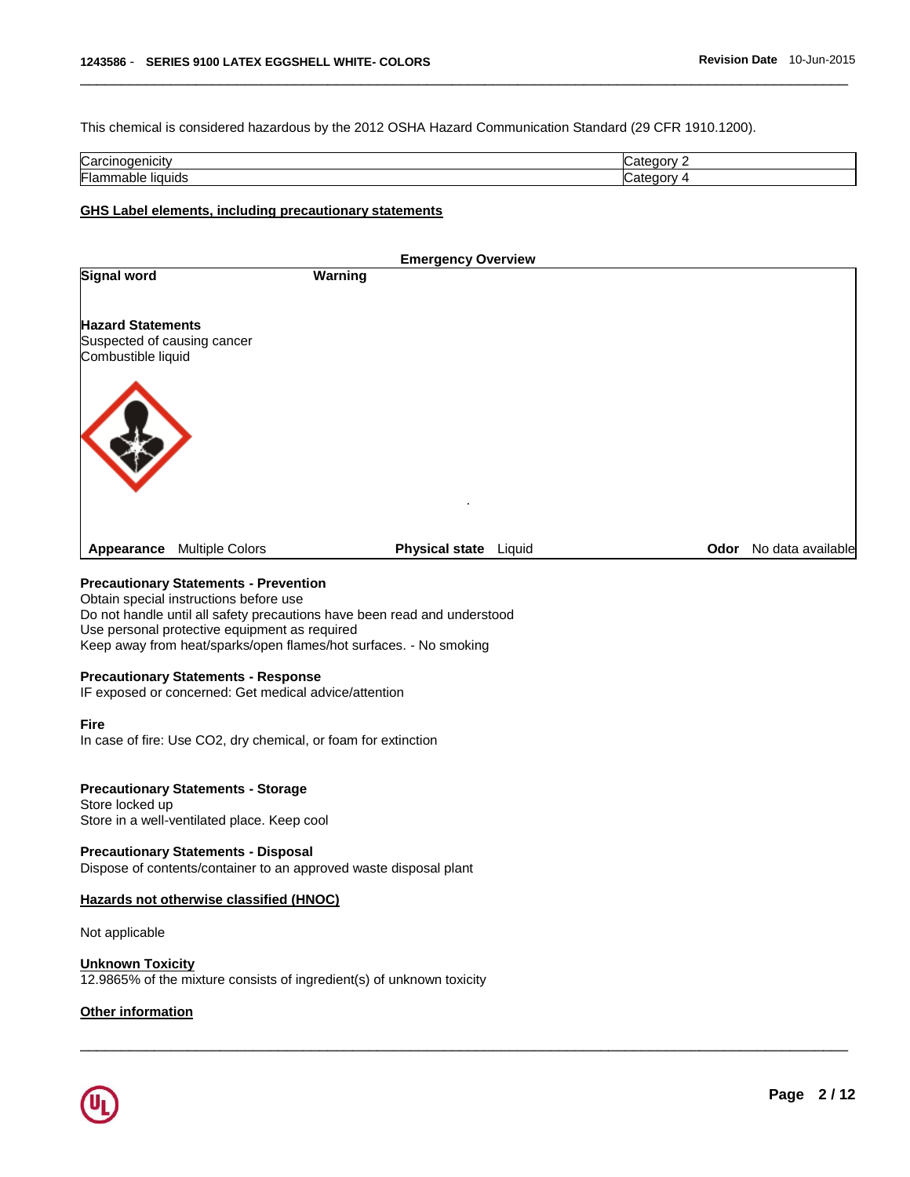This chemical is considered hazardous by the 2012 OSHA Hazard Communication Standard (29 CFR 1910.1200).

| Carcir<br>пыс                 | ---- |
|-------------------------------|------|
| Flam<br>liauids<br>.<br>паріє |      |

\_\_\_\_\_\_\_\_\_\_\_\_\_\_\_\_\_\_\_\_\_\_\_\_\_\_\_\_\_\_\_\_\_\_\_\_\_\_\_\_\_\_\_\_\_\_\_\_\_\_\_\_\_\_\_\_\_\_\_\_\_\_\_\_\_\_\_\_\_\_\_\_\_\_\_\_\_\_\_\_\_\_\_\_\_\_\_\_\_\_\_\_\_

#### **GHS Label elements, including precautionary statements**

|                                                         |                        | <b>Emergency Overview</b> |  |                        |
|---------------------------------------------------------|------------------------|---------------------------|--|------------------------|
| <b>Signal word</b>                                      |                        | Warning                   |  |                        |
| <b>Hazard Statements</b><br>Suspected of causing cancer |                        |                           |  |                        |
| Combustible liquid                                      |                        | ٠                         |  |                        |
| Appearance                                              | <b>Multiple Colors</b> | Physical state Liquid     |  | Odor No data available |

\_\_\_\_\_\_\_\_\_\_\_\_\_\_\_\_\_\_\_\_\_\_\_\_\_\_\_\_\_\_\_\_\_\_\_\_\_\_\_\_\_\_\_\_\_\_\_\_\_\_\_\_\_\_\_\_\_\_\_\_\_\_\_\_\_\_\_\_\_\_\_\_\_\_\_\_\_\_\_\_\_\_\_\_\_\_\_\_\_\_\_\_\_

#### **Precautionary Statements - Prevention**

Obtain special instructions before use Do not handle until all safety precautions have been read and understood Use personal protective equipment as required Keep away from heat/sparks/open flames/hot surfaces. - No smoking

#### **Precautionary Statements - Response**

IF exposed or concerned: Get medical advice/attention

#### **Fire**

In case of fire: Use CO2, dry chemical, or foam for extinction

#### **Precautionary Statements - Storage**

Store locked up Store in a well-ventilated place. Keep cool

#### **Precautionary Statements - Disposal**

Dispose of contents/container to an approved waste disposal plant

### **Hazards not otherwise classified (HNOC)**

Not applicable

#### **Unknown Toxicity**

12.9865% of the mixture consists of ingredient(s) of unknown toxicity

#### **Other information**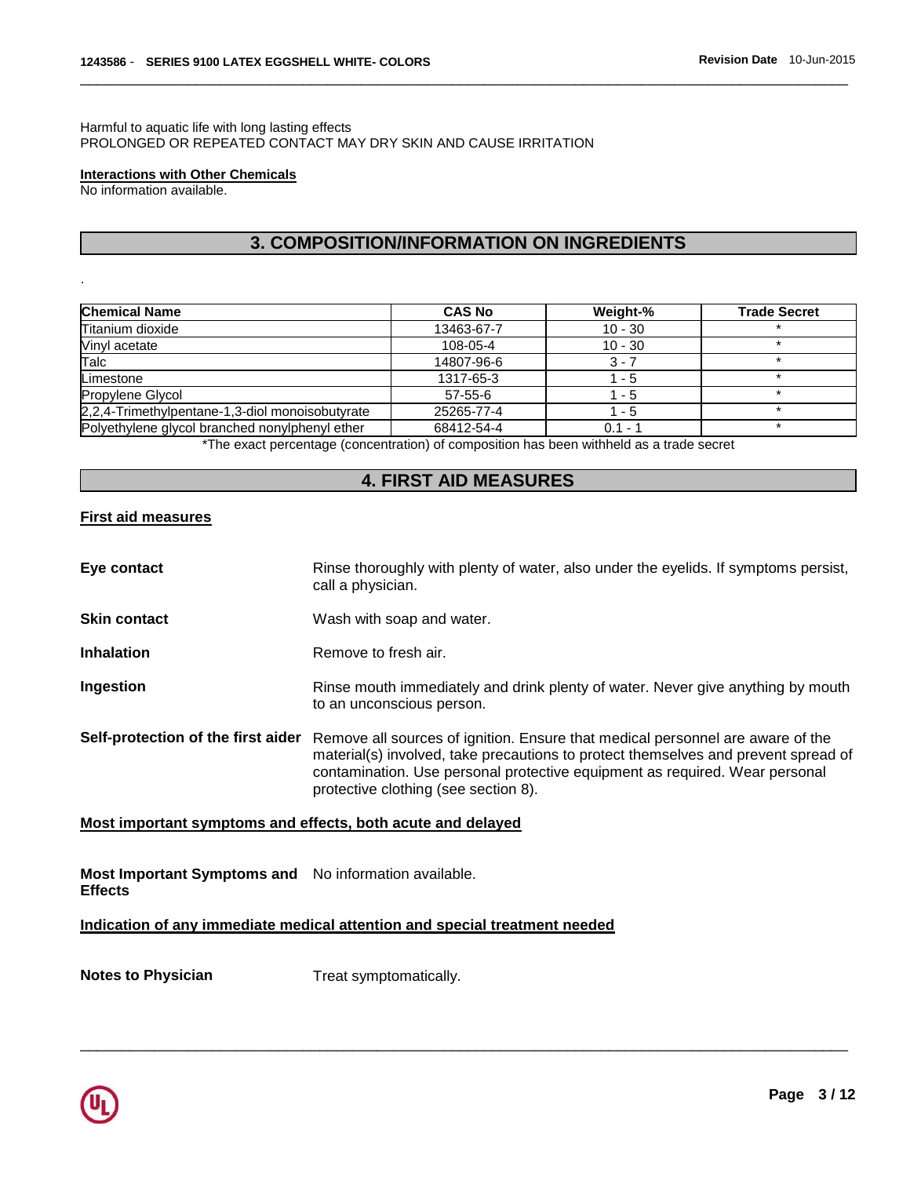#### Harmful to aquatic life with long lasting effects PROLONGED OR REPEATED CONTACT MAY DRY SKIN AND CAUSE IRRITATION

#### **Interactions with Other Chemicals**

No information available.

.

# **3. COMPOSITION/INFORMATION ON INGREDIENTS**

\_\_\_\_\_\_\_\_\_\_\_\_\_\_\_\_\_\_\_\_\_\_\_\_\_\_\_\_\_\_\_\_\_\_\_\_\_\_\_\_\_\_\_\_\_\_\_\_\_\_\_\_\_\_\_\_\_\_\_\_\_\_\_\_\_\_\_\_\_\_\_\_\_\_\_\_\_\_\_\_\_\_\_\_\_\_\_\_\_\_\_\_\_

| <b>Chemical Name</b>                            | <b>CAS No</b> | Weight-%  | <b>Trade Secret</b> |
|-------------------------------------------------|---------------|-----------|---------------------|
| Titanium dioxide                                | 13463-67-7    | $10 - 30$ |                     |
| Vinyl acetate                                   | 108-05-4      | $10 - 30$ |                     |
| Talc                                            | 14807-96-6    | $3 - 7$   |                     |
| Limestone                                       | 1317-65-3     | 1 - 5     |                     |
| Propylene Glycol                                | $57 - 55 - 6$ | $1 - 5$   |                     |
| 2,2,4-Trimethylpentane-1,3-diol monoisobutyrate | 25265-77-4    | $1 - 5$   |                     |
| Polyethylene glycol branched nonylphenyl ether  | 68412-54-4    | $0.1 - 1$ |                     |

\*The exact percentage (concentration) of composition has been withheld as a trade secret

### **4. FIRST AID MEASURES**

#### **First aid measures**

| Eye contact                        | Rinse thoroughly with plenty of water, also under the eyelids. If symptoms persist,<br>call a physician.                                                                                                                                                                                    |
|------------------------------------|---------------------------------------------------------------------------------------------------------------------------------------------------------------------------------------------------------------------------------------------------------------------------------------------|
| <b>Skin contact</b>                | Wash with soap and water.                                                                                                                                                                                                                                                                   |
| <b>Inhalation</b>                  | Remove to fresh air.                                                                                                                                                                                                                                                                        |
| <b>Ingestion</b>                   | Rinse mouth immediately and drink plenty of water. Never give anything by mouth<br>to an unconscious person.                                                                                                                                                                                |
| Self-protection of the first aider | Remove all sources of ignition. Ensure that medical personnel are aware of the<br>material(s) involved, take precautions to protect themselves and prevent spread of<br>contamination. Use personal protective equipment as required. Wear personal<br>protective clothing (see section 8). |

\_\_\_\_\_\_\_\_\_\_\_\_\_\_\_\_\_\_\_\_\_\_\_\_\_\_\_\_\_\_\_\_\_\_\_\_\_\_\_\_\_\_\_\_\_\_\_\_\_\_\_\_\_\_\_\_\_\_\_\_\_\_\_\_\_\_\_\_\_\_\_\_\_\_\_\_\_\_\_\_\_\_\_\_\_\_\_\_\_\_\_\_\_

#### **Most important symptoms and effects, both acute and delayed**

**Most Important Symptoms and**  No information available. **Effects** 

**Indication of any immediate medical attention and special treatment needed**

**Notes to Physician**  Treat symptomatically.

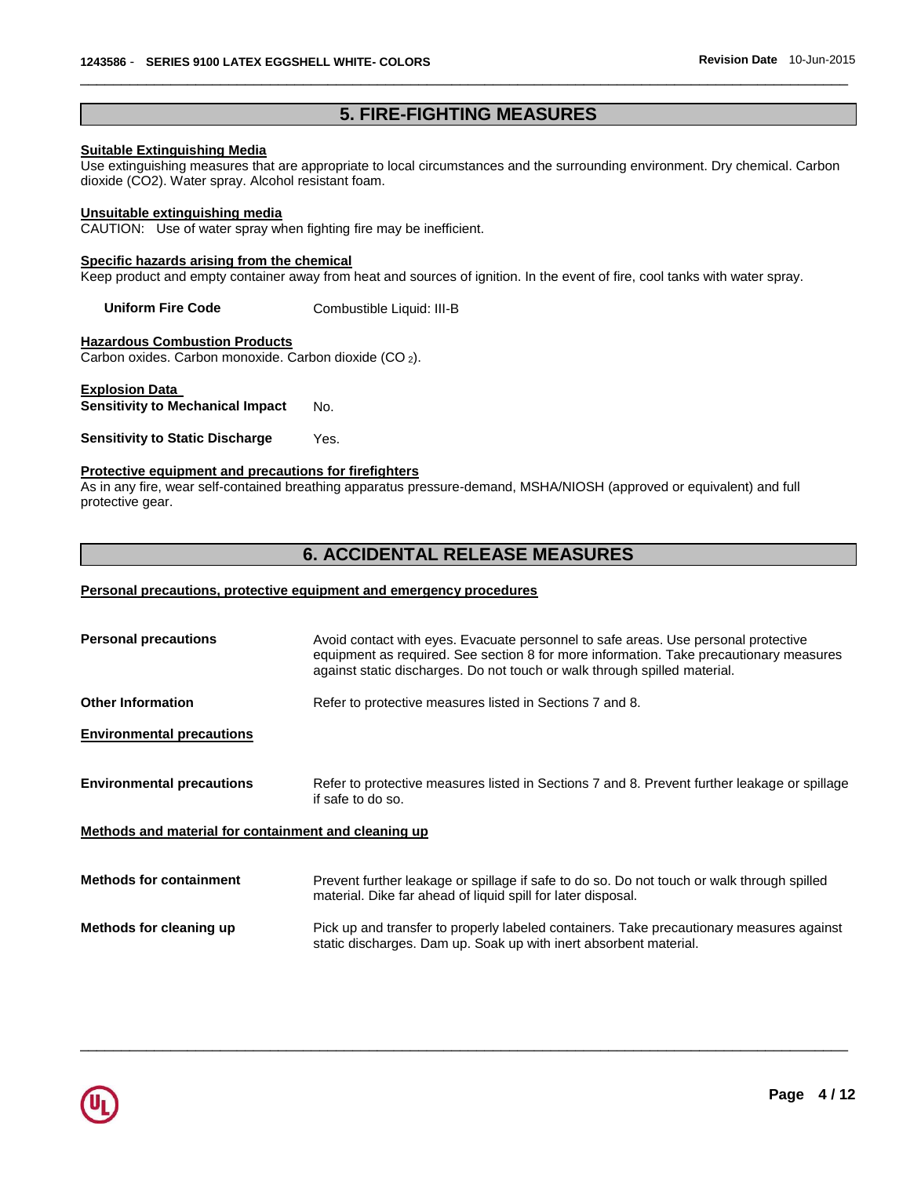# **5. FIRE-FIGHTING MEASURES**

\_\_\_\_\_\_\_\_\_\_\_\_\_\_\_\_\_\_\_\_\_\_\_\_\_\_\_\_\_\_\_\_\_\_\_\_\_\_\_\_\_\_\_\_\_\_\_\_\_\_\_\_\_\_\_\_\_\_\_\_\_\_\_\_\_\_\_\_\_\_\_\_\_\_\_\_\_\_\_\_\_\_\_\_\_\_\_\_\_\_\_\_\_

#### **Suitable Extinguishing Media**

Use extinguishing measures that are appropriate to local circumstances and the surrounding environment. Dry chemical. Carbon dioxide (CO2). Water spray. Alcohol resistant foam.

#### **Unsuitable extinguishing media**

CAUTION: Use of water spray when fighting fire may be inefficient.

#### **Specific hazards arising from the chemical**

Keep product and empty container away from heat and sources of ignition. In the event of fire, cool tanks with water spray.

**Uniform Fire Code Combustible Liquid: III-B** 

**Hazardous Combustion Products**

Carbon oxides. Carbon monoxide. Carbon dioxide (CO <sup>2</sup>).

### **Explosion Data**

**Sensitivity to Mechanical Impact No.** 

**Sensitivity to Static Discharge** Yes.

#### **Protective equipment and precautions for firefighters**

As in any fire, wear self-contained breathing apparatus pressure-demand, MSHA/NIOSH (approved or equivalent) and full protective gear.

## **6. ACCIDENTAL RELEASE MEASURES**

#### **Personal precautions, protective equipment and emergency procedures**

| <b>Personal precautions</b>                          | Avoid contact with eyes. Evacuate personnel to safe areas. Use personal protective<br>equipment as required. See section 8 for more information. Take precautionary measures<br>against static discharges. Do not touch or walk through spilled material. |
|------------------------------------------------------|-----------------------------------------------------------------------------------------------------------------------------------------------------------------------------------------------------------------------------------------------------------|
| <b>Other Information</b>                             | Refer to protective measures listed in Sections 7 and 8.                                                                                                                                                                                                  |
| <b>Environmental precautions</b>                     |                                                                                                                                                                                                                                                           |
| <b>Environmental precautions</b>                     | Refer to protective measures listed in Sections 7 and 8. Prevent further leakage or spillage<br>if safe to do so.                                                                                                                                         |
| Methods and material for containment and cleaning up |                                                                                                                                                                                                                                                           |
| <b>Methods for containment</b>                       | Prevent further leakage or spillage if safe to do so. Do not touch or walk through spilled<br>material. Dike far ahead of liquid spill for later disposal.                                                                                                |
| Methods for cleaning up                              | Pick up and transfer to properly labeled containers. Take precautionary measures against<br>static discharges. Dam up. Soak up with inert absorbent material.                                                                                             |

\_\_\_\_\_\_\_\_\_\_\_\_\_\_\_\_\_\_\_\_\_\_\_\_\_\_\_\_\_\_\_\_\_\_\_\_\_\_\_\_\_\_\_\_\_\_\_\_\_\_\_\_\_\_\_\_\_\_\_\_\_\_\_\_\_\_\_\_\_\_\_\_\_\_\_\_\_\_\_\_\_\_\_\_\_\_\_\_\_\_\_\_\_

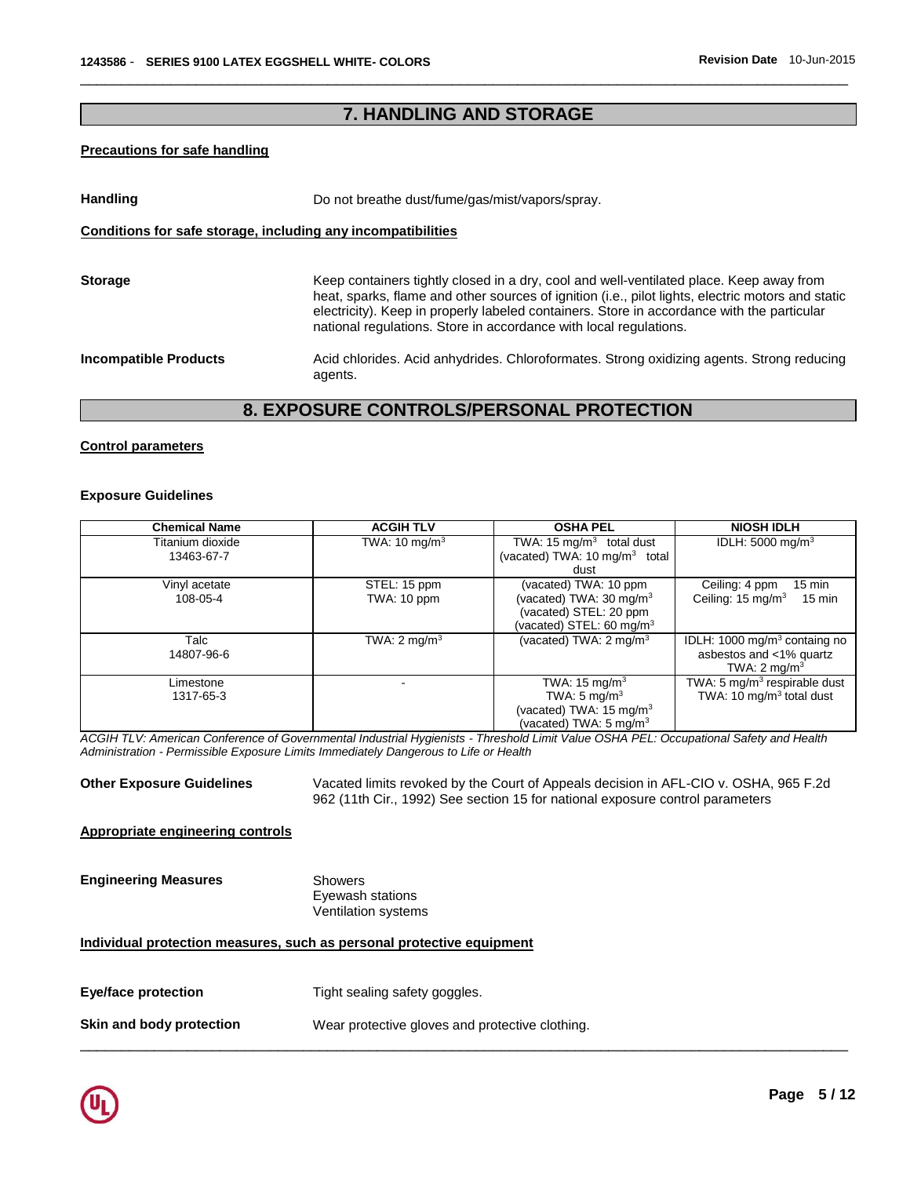# **7. HANDLING AND STORAGE**

\_\_\_\_\_\_\_\_\_\_\_\_\_\_\_\_\_\_\_\_\_\_\_\_\_\_\_\_\_\_\_\_\_\_\_\_\_\_\_\_\_\_\_\_\_\_\_\_\_\_\_\_\_\_\_\_\_\_\_\_\_\_\_\_\_\_\_\_\_\_\_\_\_\_\_\_\_\_\_\_\_\_\_\_\_\_\_\_\_\_\_\_\_

#### **Precautions for safe handling**

| <b>Handling</b>              | Do not breathe dust/fume/gas/mist/vapors/spray.                                                                                                                                                                                                                                                                                                                 |
|------------------------------|-----------------------------------------------------------------------------------------------------------------------------------------------------------------------------------------------------------------------------------------------------------------------------------------------------------------------------------------------------------------|
|                              | Conditions for safe storage, including any incompatibilities                                                                                                                                                                                                                                                                                                    |
| <b>Storage</b>               | Keep containers tightly closed in a dry, cool and well-ventilated place. Keep away from<br>heat, sparks, flame and other sources of ignition (i.e., pilot lights, electric motors and static<br>electricity). Keep in properly labeled containers. Store in accordance with the particular<br>national regulations. Store in accordance with local regulations. |
| <b>Incompatible Products</b> | Acid chlorides. Acid anhydrides. Chloroformates. Strong oxidizing agents. Strong reducing<br>agents.                                                                                                                                                                                                                                                            |

# **8. EXPOSURE CONTROLS/PERSONAL PROTECTION**

#### **Control parameters**

#### **Exposure Guidelines**

| <b>Chemical Name</b> | <b>ACGIH TLV</b>         | <b>OSHA PEL</b>                           | <b>NIOSH IDLH</b>                                 |
|----------------------|--------------------------|-------------------------------------------|---------------------------------------------------|
| Titanium dioxide     | TWA: $10 \text{ mg/m}^3$ | TWA: 15 $mq/m3$ total dust                | IDLH: $5000 \text{ mg/m}^3$                       |
| 13463-67-7           |                          | (vacated) TWA: 10 mg/m <sup>3</sup> total |                                                   |
|                      |                          | dust                                      |                                                   |
| Vinyl acetate        | STEL: 15 ppm             | (vacated) TWA: 10 ppm                     | Ceiling: 4 ppm<br>$15 \text{ min}$                |
| 108-05-4             | TWA: 10 ppm              | (vacated) TWA: 30 mg/m $3$                | Ceiling: 15 mg/m <sup>3</sup><br>$15 \text{ min}$ |
|                      |                          | (vacated) STEL: 20 ppm                    |                                                   |
|                      |                          | (vacated) STEL: 60 mg/m $3$               |                                                   |
| Talc                 | TWA: $2 \text{ mg/m}^3$  | (vacated) TWA: $2 \text{ mg/m}^3$         | IDLH: 1000 mg/m <sup>3</sup> containg no          |
| 14807-96-6           |                          |                                           | asbestos and <1% quartz                           |
|                      |                          |                                           | TWA: $2 \text{ mq/m}^3$                           |
| Limestone            |                          | TWA: $15 \text{ mg/m}^3$                  | TWA: 5 mg/m <sup>3</sup> respirable dust          |
| 1317-65-3            |                          | TWA: $5 \text{ mg/m}^3$                   | TWA: 10 $mq/m3$ total dust                        |
|                      |                          | (vacated) TWA: $15 \text{ mg/m}^3$        |                                                   |
|                      |                          | (vacated) TWA: $5 \text{ mg/m}^3$         |                                                   |

*ACGIH TLV: American Conference of Governmental Industrial Hygienists - Threshold Limit Value OSHA PEL: Occupational Safety and Health Administration - Permissible Exposure Limits Immediately Dangerous to Life or Health* 

\_\_\_\_\_\_\_\_\_\_\_\_\_\_\_\_\_\_\_\_\_\_\_\_\_\_\_\_\_\_\_\_\_\_\_\_\_\_\_\_\_\_\_\_\_\_\_\_\_\_\_\_\_\_\_\_\_\_\_\_\_\_\_\_\_\_\_\_\_\_\_\_\_\_\_\_\_\_\_\_\_\_\_\_\_\_\_\_\_\_\_\_\_

**Other Exposure Guidelines** Vacated limits revoked by the Court of Appeals decision in AFL-CIO v. OSHA, 965 F.2d 962 (11th Cir., 1992) See section 15 for national exposure control parameters

#### **Appropriate engineering controls**

# **Engineering Measures** Showers

Eyewash stations Ventilation systems

#### **Individual protection measures, such as personal protective equipment**

| Skin and body protection | Wear protective gloves and protective clothing. |
|--------------------------|-------------------------------------------------|
|--------------------------|-------------------------------------------------|

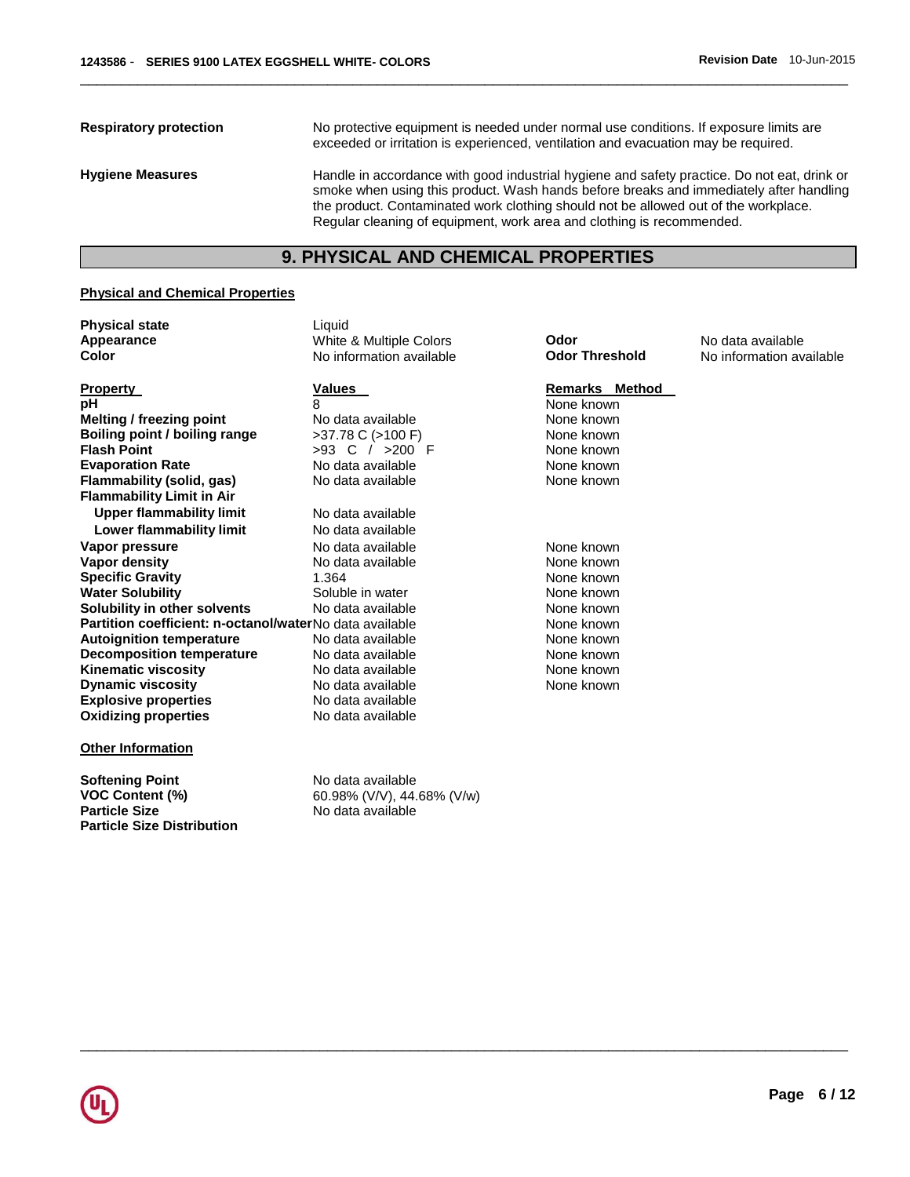**Respiratory protection** No protective equipment is needed under normal use conditions. If exposure limits are exceeded or irritation is experienced, ventilation and evacuation may be required. **Hygiene Measures** Handle in accordance with good industrial hygiene and safety practice. Do not eat, drink or smoke when using this product. Wash hands before breaks and immediately after handling the product. Contaminated work clothing should not be allowed out of the workplace. Regular cleaning of equipment, work area and clothing is recommended.

\_\_\_\_\_\_\_\_\_\_\_\_\_\_\_\_\_\_\_\_\_\_\_\_\_\_\_\_\_\_\_\_\_\_\_\_\_\_\_\_\_\_\_\_\_\_\_\_\_\_\_\_\_\_\_\_\_\_\_\_\_\_\_\_\_\_\_\_\_\_\_\_\_\_\_\_\_\_\_\_\_\_\_\_\_\_\_\_\_\_\_\_\_

# **9. PHYSICAL AND CHEMICAL PROPERTIES**

#### **Physical and Chemical Properties**

| <b>Physical state</b>                                   | Liquid                   |                       |                          |
|---------------------------------------------------------|--------------------------|-----------------------|--------------------------|
| Appearance                                              | White & Multiple Colors  | Odor                  | No data available        |
| Color                                                   | No information available | <b>Odor Threshold</b> | No information available |
| <b>Property</b>                                         | Values                   | Remarks Method        |                          |
| рH                                                      | 8                        | None known            |                          |
| Melting / freezing point                                | No data available        | None known            |                          |
| Boiling point / boiling range                           | $>37.78$ C ( $>100$ F)   | None known            |                          |
| <b>Flash Point</b>                                      | >93 C / >200 F           | None known            |                          |
| <b>Evaporation Rate</b>                                 | No data available        | None known            |                          |
| Flammability (solid, gas)                               | No data available        | None known            |                          |
| <b>Flammability Limit in Air</b>                        |                          |                       |                          |
| <b>Upper flammability limit</b>                         | No data available        |                       |                          |
| Lower flammability limit                                | No data available        |                       |                          |
| Vapor pressure                                          | No data available        | None known            |                          |
| Vapor density                                           | No data available        | None known            |                          |
| <b>Specific Gravity</b>                                 | 1.364                    | None known            |                          |
| <b>Water Solubility</b>                                 | Soluble in water         | None known            |                          |
| Solubility in other solvents                            | No data available        | None known            |                          |
| Partition coefficient: n-octanol/waterNo data available |                          | None known            |                          |
| <b>Autoignition temperature</b>                         | No data available        | None known            |                          |
| <b>Decomposition temperature</b>                        | No data available        | None known            |                          |
| Kinematic viscosity                                     | No data available        | None known            |                          |
| <b>Dynamic viscosity</b>                                | No data available        | None known            |                          |
| <b>Explosive properties</b>                             | No data available        |                       |                          |
| <b>Oxidizing properties</b>                             | No data available        |                       |                          |
| Athar Infarmation                                       |                          |                       |                          |

\_\_\_\_\_\_\_\_\_\_\_\_\_\_\_\_\_\_\_\_\_\_\_\_\_\_\_\_\_\_\_\_\_\_\_\_\_\_\_\_\_\_\_\_\_\_\_\_\_\_\_\_\_\_\_\_\_\_\_\_\_\_\_\_\_\_\_\_\_\_\_\_\_\_\_\_\_\_\_\_\_\_\_\_\_\_\_\_\_\_\_\_\_

#### **Other Information**

**Softening Point No data available**<br>**VOC Content (%)** 60.98% (V/V), 44. **Particle Size Distribution** 

**VOC Content (%) 60.98% (V/V), 44.68% (V/w)**<br>**Particle Size 18.68% (M) No data available Particle Size** No data available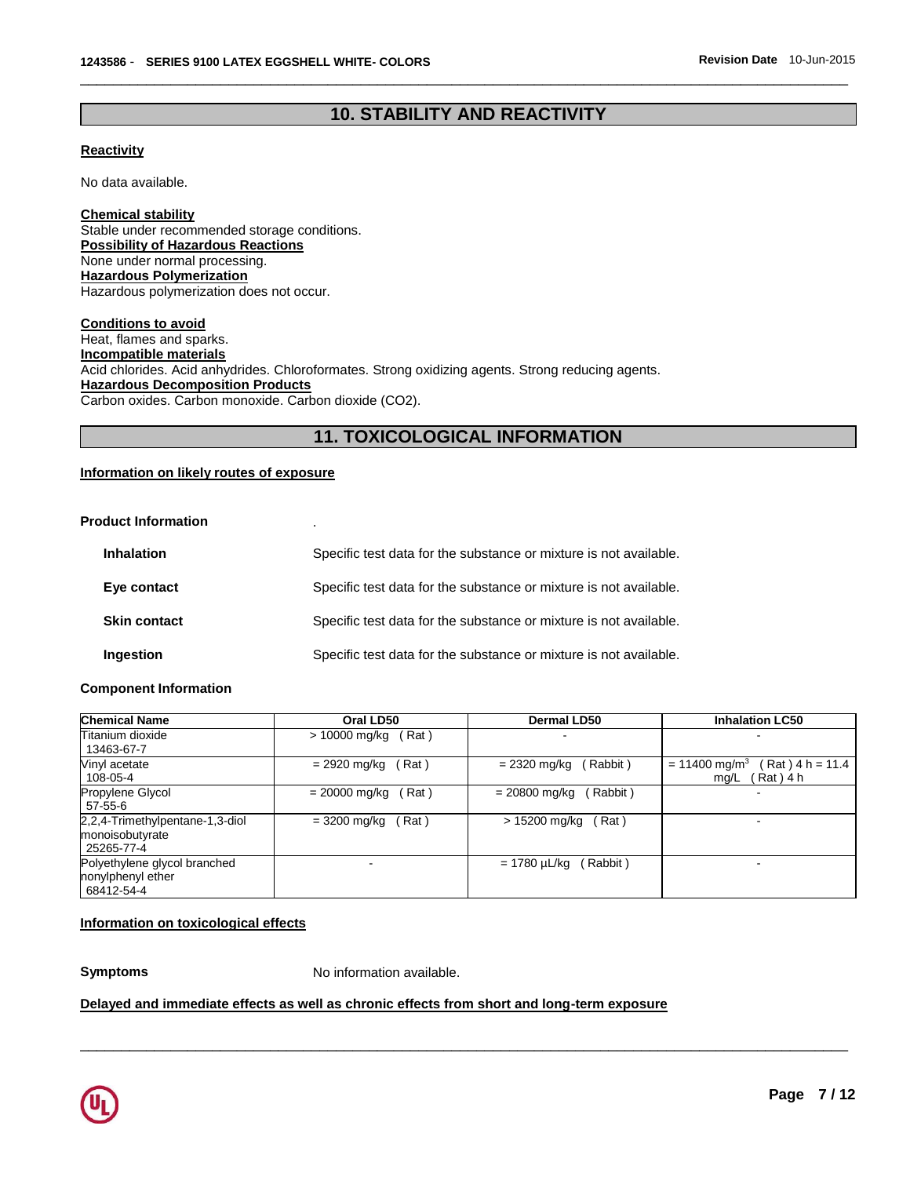# **10. STABILITY AND REACTIVITY**

\_\_\_\_\_\_\_\_\_\_\_\_\_\_\_\_\_\_\_\_\_\_\_\_\_\_\_\_\_\_\_\_\_\_\_\_\_\_\_\_\_\_\_\_\_\_\_\_\_\_\_\_\_\_\_\_\_\_\_\_\_\_\_\_\_\_\_\_\_\_\_\_\_\_\_\_\_\_\_\_\_\_\_\_\_\_\_\_\_\_\_\_\_

#### **Reactivity**

No data available.

**Chemical stability** Stable under recommended storage conditions. **Possibility of Hazardous Reactions** None under normal processing. **Hazardous Polymerization** Hazardous polymerization does not occur.

**Conditions to avoid** Heat, flames and sparks. **Incompatible materials** Acid chlorides. Acid anhydrides. Chloroformates. Strong oxidizing agents. Strong reducing agents. **Hazardous Decomposition Products** Carbon oxides. Carbon monoxide. Carbon dioxide (CO2).

# **11. TOXICOLOGICAL INFORMATION**

#### **Information on likely routes of exposure**

#### **Product Information** .

| <b>Inhalation</b>   | Specific test data for the substance or mixture is not available. |
|---------------------|-------------------------------------------------------------------|
| Eye contact         | Specific test data for the substance or mixture is not available. |
| <b>Skin contact</b> | Specific test data for the substance or mixture is not available. |
| Ingestion           | Specific test data for the substance or mixture is not available. |

#### **Component Information**

| <b>Chemical Name</b>                                             | Oral LD50                | <b>Dermal LD50</b>          | <b>Inhalation LC50</b>                                               |
|------------------------------------------------------------------|--------------------------|-----------------------------|----------------------------------------------------------------------|
| Titanium dioxide<br>13463-67-7                                   | (Rat)<br>> 10000 mg/kg   |                             |                                                                      |
| Vinyl acetate<br>108-05-4                                        | = 2920 mg/kg<br>(Rat)    | (Rabbit)<br>$= 2320$ mg/kg  | (Rat) 4 h = 11.4<br>$= 11400$ mg/m <sup>3</sup><br>Rat ) 4 h<br>mg/L |
| Propylene Glycol<br>$57-55-6$                                    | (Rat)<br>$= 20000$ mg/kg | (Rabbit)<br>$= 20800$ mg/kg |                                                                      |
| 2,2,4-Trimethylpentane-1,3-diol<br>monoisobutyrate<br>25265-77-4 | (Rat)<br>= 3200 mg/kg    | (Rat)<br>> 15200 mg/kg      |                                                                      |
| Polyethylene glycol branched<br>nonylphenyl ether<br>68412-54-4  |                          | (Rabbit)<br>= 1780 µL/kg    |                                                                      |

\_\_\_\_\_\_\_\_\_\_\_\_\_\_\_\_\_\_\_\_\_\_\_\_\_\_\_\_\_\_\_\_\_\_\_\_\_\_\_\_\_\_\_\_\_\_\_\_\_\_\_\_\_\_\_\_\_\_\_\_\_\_\_\_\_\_\_\_\_\_\_\_\_\_\_\_\_\_\_\_\_\_\_\_\_\_\_\_\_\_\_\_\_

#### **Information on toxicological effects**

**Symptoms** No information available.

#### **Delayed and immediate effects as well as chronic effects from short and long-term exposure**

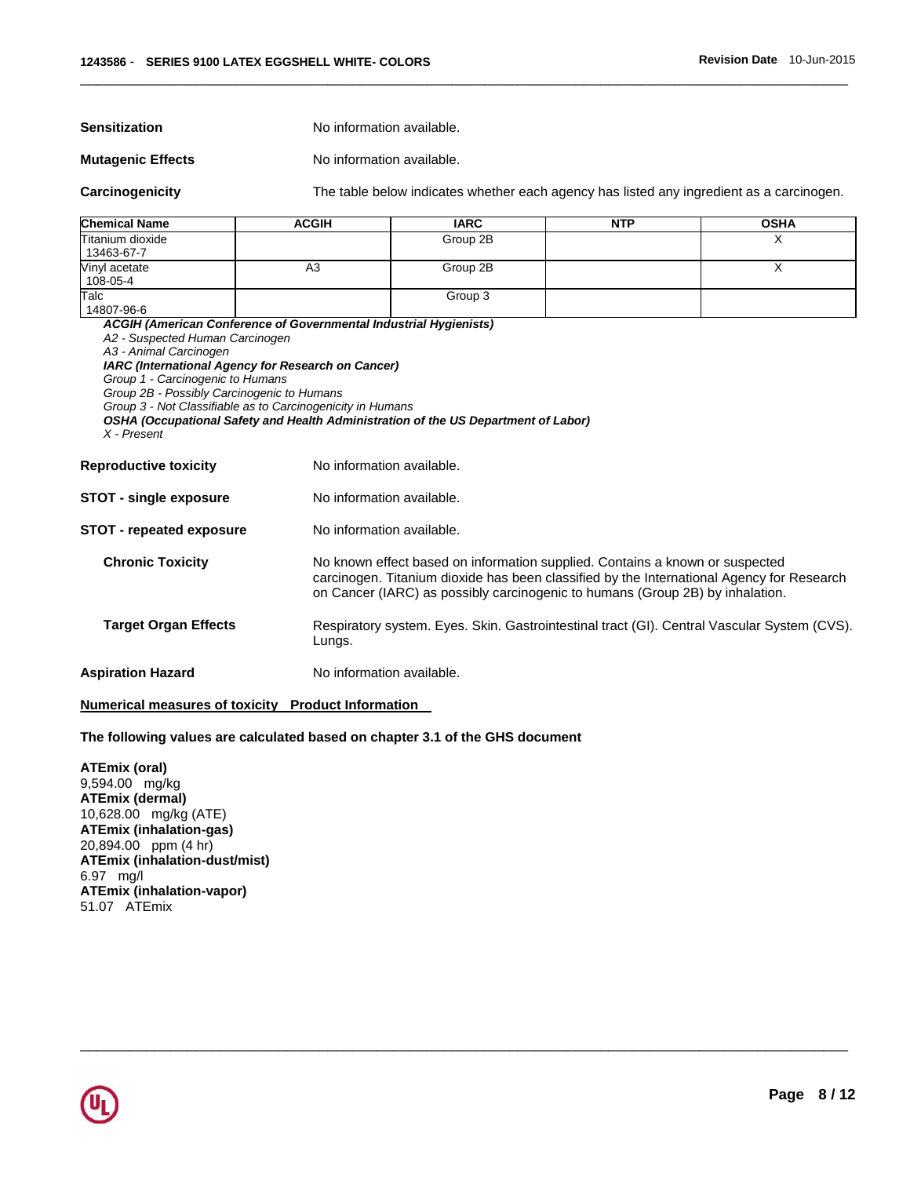**Sensitization No information available.** 

#### **Mutagenic Effects** No information available.

**Carcinogenicity** The table below indicates whether each agency has listed any ingredient as a carcinogen.

| <b>Chemical Name</b>           | <b>ACGIH</b> | <b>IARC</b> | <b>NTP</b> | <b>OSHA</b> |
|--------------------------------|--------------|-------------|------------|-------------|
| Titanium dioxide<br>13463-67-7 |              | Group 2B    |            |             |
| Vinyl acetate<br>108-05-4      | A3           | Group 2B    |            |             |
| Talc<br>14807-96-6             |              | Group 3     |            |             |

\_\_\_\_\_\_\_\_\_\_\_\_\_\_\_\_\_\_\_\_\_\_\_\_\_\_\_\_\_\_\_\_\_\_\_\_\_\_\_\_\_\_\_\_\_\_\_\_\_\_\_\_\_\_\_\_\_\_\_\_\_\_\_\_\_\_\_\_\_\_\_\_\_\_\_\_\_\_\_\_\_\_\_\_\_\_\_\_\_\_\_\_\_

\_\_\_\_\_\_\_\_\_\_\_\_\_\_\_\_\_\_\_\_\_\_\_\_\_\_\_\_\_\_\_\_\_\_\_\_\_\_\_\_\_\_\_\_\_\_\_\_\_\_\_\_\_\_\_\_\_\_\_\_\_\_\_\_\_\_\_\_\_\_\_\_\_\_\_\_\_\_\_\_\_\_\_\_\_\_\_\_\_\_\_\_\_

*ACGIH (American Conference of Governmental Industrial Hygienists) A2 - Suspected Human Carcinogen A3 - Animal Carcinogen IARC (International Agency for Research on Cancer) Group 1 - Carcinogenic to Humans Group 2B - Possibly Carcinogenic to Humans Group 3 - Not Classifiable as to Carcinogenicity in Humans OSHA (Occupational Safety and Health Administration of the US Department of Labor) X - Present*  **Reproductive toxicity No information available. STOT - single exposure** No information available. **STOT - repeated exposure** No information available. **Chronic Toxicity** No known effect based on information supplied. Contains a known or suspected carcinogen. Titanium dioxide has been classified by the International Agency for Research on Cancer (IARC) as possibly carcinogenic to humans (Group 2B) by inhalation. **Target Organ Effects** Respiratory system. Eyes. Skin. Gastrointestinal tract (GI). Central Vascular System (CVS).

#### **Aspiration Hazard Molec Example 2018** No information available.

#### **Numerical measures of toxicity Product Information**

#### **The following values are calculated based on chapter 3.1 of the GHS document**

Lungs.

**ATEmix (oral)** 9,594.00 mg/kg **ATEmix (dermal)** 10,628.00 mg/kg (ATE) **ATEmix (inhalation-gas)** 20,894.00 ppm (4 hr) **ATEmix (inhalation-dust/mist)** 6.97 mg/l **ATEmix (inhalation-vapor)** 51.07 ATEmix

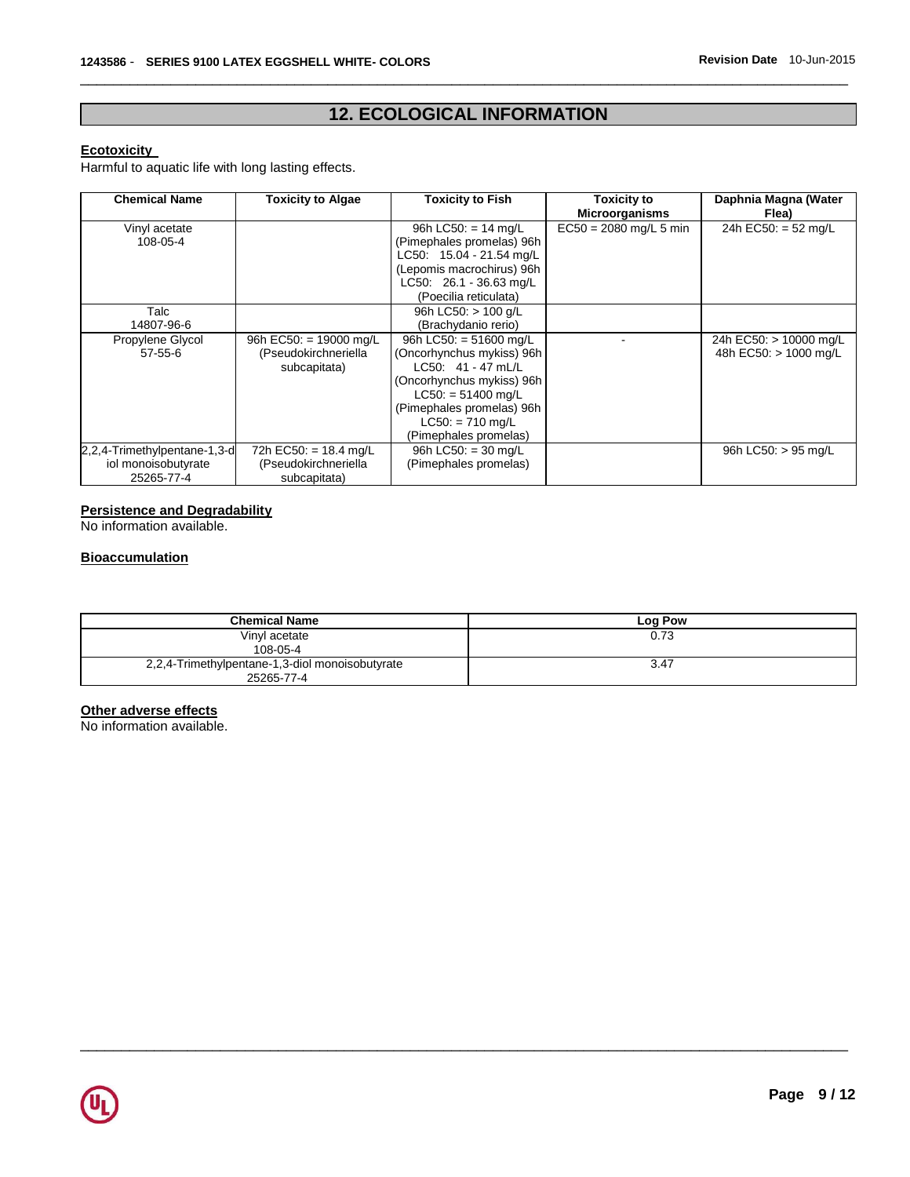# **12. ECOLOGICAL INFORMATION**

\_\_\_\_\_\_\_\_\_\_\_\_\_\_\_\_\_\_\_\_\_\_\_\_\_\_\_\_\_\_\_\_\_\_\_\_\_\_\_\_\_\_\_\_\_\_\_\_\_\_\_\_\_\_\_\_\_\_\_\_\_\_\_\_\_\_\_\_\_\_\_\_\_\_\_\_\_\_\_\_\_\_\_\_\_\_\_\_\_\_\_\_\_

#### **Ecotoxicity**

Harmful to aquatic life with long lasting effects.

| <b>Chemical Name</b>         | <b>Toxicity to Algae</b> | <b>Toxicity to Fish</b>   | <b>Toxicity to</b><br><b>Microorganisms</b> | Daphnia Magna (Water<br>Flea) |
|------------------------------|--------------------------|---------------------------|---------------------------------------------|-------------------------------|
| Vinyl acetate                |                          | 96h LC50: $= 14$ mg/L     | $EC50 = 2080$ mg/L 5 min                    | 24h EC50: = 52 mg/L           |
| 108-05-4                     |                          | (Pimephales promelas) 96h |                                             |                               |
|                              |                          | LC50: 15.04 - 21.54 mg/L  |                                             |                               |
|                              |                          | (Lepomis macrochirus) 96h |                                             |                               |
|                              |                          | LC50: 26.1 - 36.63 mg/L   |                                             |                               |
|                              |                          | (Poecilia reticulata)     |                                             |                               |
| Talc                         |                          | 96h LC50: $> 100$ g/L     |                                             |                               |
| 14807-96-6                   |                          | (Brachydanio rerio)       |                                             |                               |
| Propylene Glycol             | 96h EC50: = 19000 mg/L   | 96h LC50: = 51600 mg/L    |                                             | 24h EC50: > 10000 mg/L        |
| $57 - 55 - 6$                | (Pseudokirchneriella     | (Oncorhynchus mykiss) 96h |                                             | 48h EC50: > 1000 mg/L         |
|                              | subcapitata)             | $LC50: 41 - 47$ mL/L      |                                             |                               |
|                              |                          | (Oncorhynchus mykiss) 96h |                                             |                               |
|                              |                          | $LC50: = 51400$ mg/L      |                                             |                               |
|                              |                          | (Pimephales promelas) 96h |                                             |                               |
|                              |                          | $LC50: = 710$ mg/L        |                                             |                               |
|                              |                          | (Pimephales promelas)     |                                             |                               |
| 2,2,4-Trimethylpentane-1,3-d | 72h EC50: = 18.4 mg/L    | 96h LC50: $=$ 30 mg/L     |                                             | 96h LC50: > 95 mg/L           |
| iol monoisobutyrate          | (Pseudokirchneriella     | (Pimephales promelas)     |                                             |                               |
| 25265-77-4                   | subcapitata)             |                           |                                             |                               |

#### **Persistence and Degradability**

No information available.

#### **Bioaccumulation**

| <b>Chemical Name</b>                                          | Log Pow |
|---------------------------------------------------------------|---------|
| Vinyl acetate<br>108-05-4                                     | 0.73    |
| 2,2,4-Trimethylpentane-1,3-diol monoisobutyrate<br>25265-77-4 | 3.47    |

\_\_\_\_\_\_\_\_\_\_\_\_\_\_\_\_\_\_\_\_\_\_\_\_\_\_\_\_\_\_\_\_\_\_\_\_\_\_\_\_\_\_\_\_\_\_\_\_\_\_\_\_\_\_\_\_\_\_\_\_\_\_\_\_\_\_\_\_\_\_\_\_\_\_\_\_\_\_\_\_\_\_\_\_\_\_\_\_\_\_\_\_\_

### **Other adverse effects**

No information available.

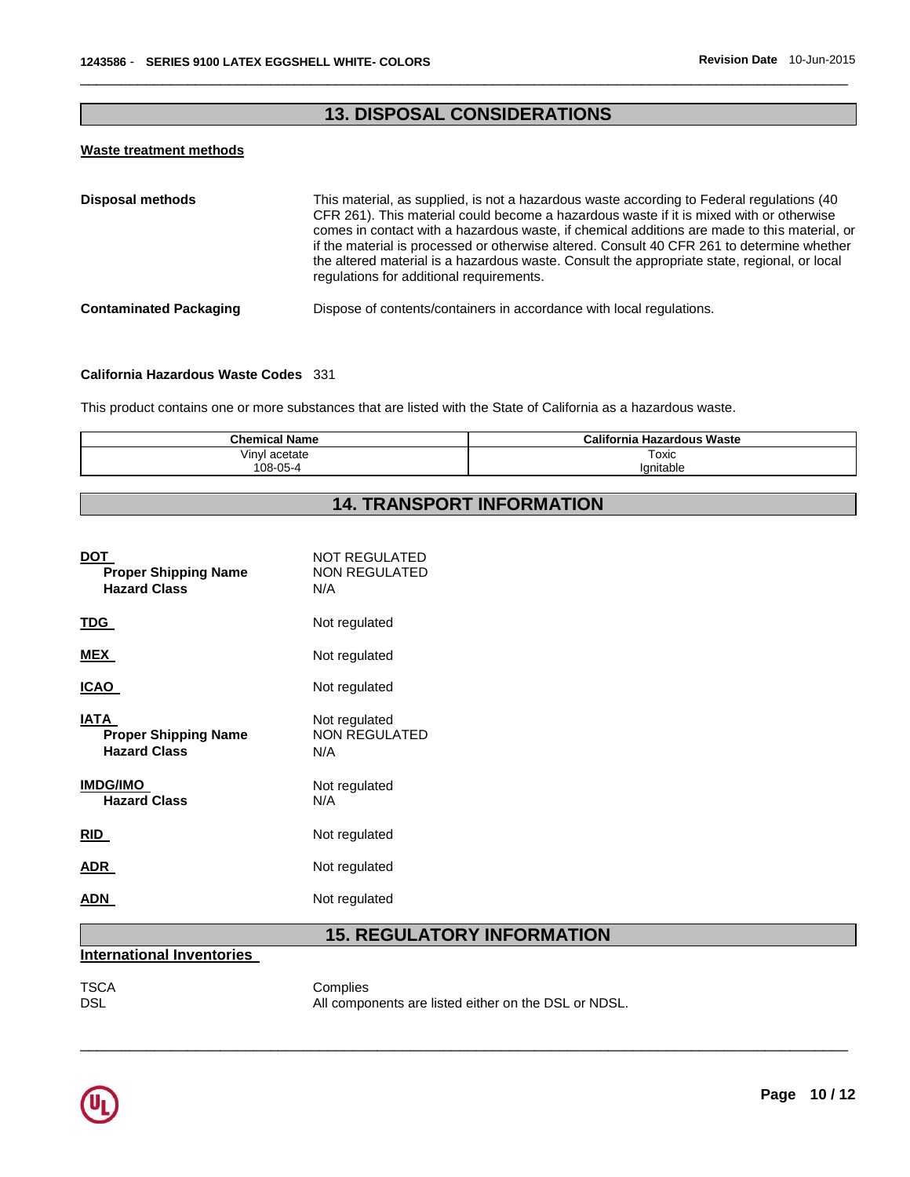# **13. DISPOSAL CONSIDERATIONS**

\_\_\_\_\_\_\_\_\_\_\_\_\_\_\_\_\_\_\_\_\_\_\_\_\_\_\_\_\_\_\_\_\_\_\_\_\_\_\_\_\_\_\_\_\_\_\_\_\_\_\_\_\_\_\_\_\_\_\_\_\_\_\_\_\_\_\_\_\_\_\_\_\_\_\_\_\_\_\_\_\_\_\_\_\_\_\_\_\_\_\_\_\_

#### **Waste treatment methods**

| <b>Disposal methods</b>       | This material, as supplied, is not a hazardous waste according to Federal regulations (40<br>CFR 261). This material could become a hazardous waste if it is mixed with or otherwise<br>comes in contact with a hazardous waste, if chemical additions are made to this material, or<br>if the material is processed or otherwise altered. Consult 40 CFR 261 to determine whether<br>the altered material is a hazardous waste. Consult the appropriate state, regional, or local<br>regulations for additional requirements. |
|-------------------------------|--------------------------------------------------------------------------------------------------------------------------------------------------------------------------------------------------------------------------------------------------------------------------------------------------------------------------------------------------------------------------------------------------------------------------------------------------------------------------------------------------------------------------------|
| <b>Contaminated Packaging</b> | Dispose of contents/containers in accordance with local regulations.                                                                                                                                                                                                                                                                                                                                                                                                                                                           |

#### **California Hazardous Waste Codes** 331

This product contains one or more substances that are listed with the State of California as a hazardous waste.

| <b>California Hazardous Waste</b> |
|-----------------------------------|
| Toxic<br>lanitable                |
|                                   |

# **14. TRANSPORT INFORMATION**

| DOT<br><b>Proper Shipping Name</b><br><b>Hazard Class</b>  | <b>NOT REGULATED</b><br><b>NON REGULATED</b><br>N/A |
|------------------------------------------------------------|-----------------------------------------------------|
| <u>TDG </u>                                                | Not regulated                                       |
| MEX                                                        | Not regulated                                       |
| ICAO                                                       | Not regulated                                       |
| IATA<br><b>Proper Shipping Name</b><br><b>Hazard Class</b> | Not regulated<br><b>NON REGULATED</b><br>N/A        |
| <b>IMDG/IMO</b><br><b>Hazard Class</b>                     | Not regulated<br>N/A                                |
| RID                                                        | Not regulated                                       |
| ADR.                                                       | Not regulated                                       |
| ADN                                                        | Not regulated                                       |

# **15. REGULATORY INFORMATION**

#### **International Inventories**

# TSCA Complies<br>DSL Mill Component DSL

All components are listed either on the DSL or NDSL.

\_\_\_\_\_\_\_\_\_\_\_\_\_\_\_\_\_\_\_\_\_\_\_\_\_\_\_\_\_\_\_\_\_\_\_\_\_\_\_\_\_\_\_\_\_\_\_\_\_\_\_\_\_\_\_\_\_\_\_\_\_\_\_\_\_\_\_\_\_\_\_\_\_\_\_\_\_\_\_\_\_\_\_\_\_\_\_\_\_\_\_\_\_

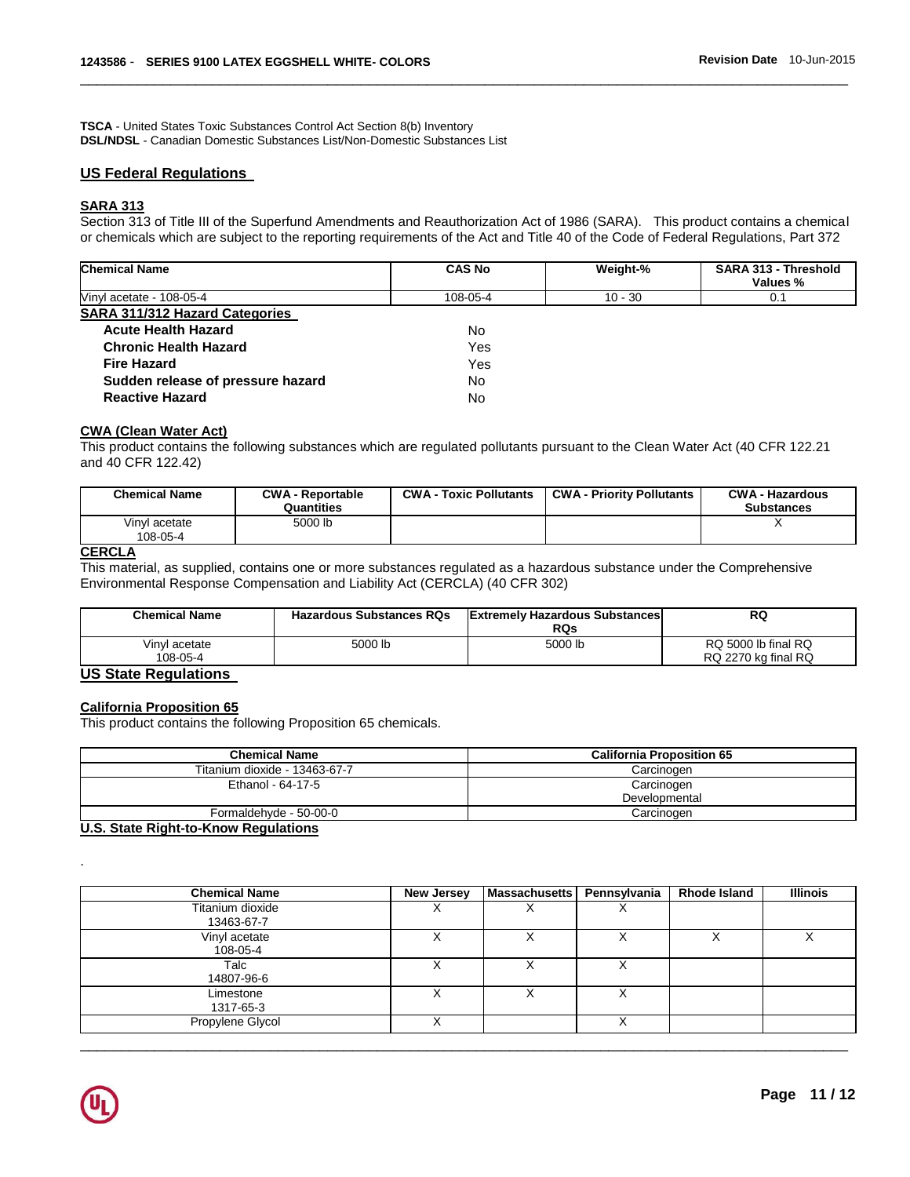**TSCA** - United States Toxic Substances Control Act Section 8(b) Inventory **DSL/NDSL** - Canadian Domestic Substances List/Non-Domestic Substances List

#### **US Federal Regulations**

#### **SARA 313**

Section 313 of Title III of the Superfund Amendments and Reauthorization Act of 1986 (SARA). This product contains a chemical or chemicals which are subject to the reporting requirements of the Act and Title 40 of the Code of Federal Regulations, Part 372

\_\_\_\_\_\_\_\_\_\_\_\_\_\_\_\_\_\_\_\_\_\_\_\_\_\_\_\_\_\_\_\_\_\_\_\_\_\_\_\_\_\_\_\_\_\_\_\_\_\_\_\_\_\_\_\_\_\_\_\_\_\_\_\_\_\_\_\_\_\_\_\_\_\_\_\_\_\_\_\_\_\_\_\_\_\_\_\_\_\_\_\_\_

| <b>Chemical Name</b>                  | <b>CAS No</b> | Weight-%  | SARA 313 - Threshold<br>Values % |
|---------------------------------------|---------------|-----------|----------------------------------|
| Vinyl acetate - 108-05-4              | 108-05-4      | $10 - 30$ | 0.1                              |
| <b>SARA 311/312 Hazard Categories</b> |               |           |                                  |
| <b>Acute Health Hazard</b>            | No.           |           |                                  |
| <b>Chronic Health Hazard</b>          | Yes           |           |                                  |
| <b>Fire Hazard</b>                    | Yes           |           |                                  |
| Sudden release of pressure hazard     | No.           |           |                                  |
| <b>Reactive Hazard</b>                | <b>No</b>     |           |                                  |

#### **CWA (Clean Water Act)**

This product contains the following substances which are regulated pollutants pursuant to the Clean Water Act (40 CFR 122.21 and 40 CFR 122.42)

| <b>Chemical Name</b>      | <b>CWA - Reportable</b><br>Quantities | <b>CWA - Toxic Pollutants</b> | <b>CWA - Priority Pollutants</b> | <b>CWA - Hazardous</b><br><b>Substances</b> |
|---------------------------|---------------------------------------|-------------------------------|----------------------------------|---------------------------------------------|
| Vinvl acetate<br>108-05-4 | 5000 lb                               |                               |                                  |                                             |

#### **CERCLA**

This material, as supplied, contains one or more substances regulated as a hazardous substance under the Comprehensive Environmental Response Compensation and Liability Act (CERCLA) (40 CFR 302)

| <b>Chemical Name</b>      | <b>Hazardous Substances RQs</b> | <b>Extremely Hazardous Substances</b><br>RQs | RQ                                         |
|---------------------------|---------------------------------|----------------------------------------------|--------------------------------------------|
| Vinvl acetate<br>108-05-4 | 5000 lb                         | 5000 lb                                      | RQ 5000 lb final RQ<br>RQ 2270 kg final RQ |

#### **US State Regulations**

#### **California Proposition 65**

This product contains the following Proposition 65 chemicals.

| <b>Chemical Name</b>          | <b>California Proposition 65</b> |
|-------------------------------|----------------------------------|
| Titanium dioxide - 13463-67-7 | Carcinogen                       |
| Ethanol - 64-17-5             | Carcinogen<br>Developmental      |
| Formaldehyde - 50-00-0        | Carcinogen                       |

**U.S. State Right-to-Know Regulations**

| <b>Chemical Name</b>           | New Jersey | <b>Massachusetts</b> | Pennsylvania | <b>Rhode Island</b> | <b>Illinois</b> |
|--------------------------------|------------|----------------------|--------------|---------------------|-----------------|
| Titanium dioxide<br>13463-67-7 |            |                      | ⌒            |                     |                 |
| Vinyl acetate<br>108-05-4      |            |                      |              |                     |                 |
| Talc<br>14807-96-6             |            |                      | ⋏            |                     |                 |
| Limestone<br>1317-65-3         |            |                      | х            |                     |                 |
| Propylene Glycol               |            |                      | ⋏            |                     |                 |

\_\_\_\_\_\_\_\_\_\_\_\_\_\_\_\_\_\_\_\_\_\_\_\_\_\_\_\_\_\_\_\_\_\_\_\_\_\_\_\_\_\_\_\_\_\_\_\_\_\_\_\_\_\_\_\_\_\_\_\_\_\_\_\_\_\_\_\_\_\_\_\_\_\_\_\_\_\_\_\_\_\_\_\_\_\_\_\_\_\_\_\_\_



.